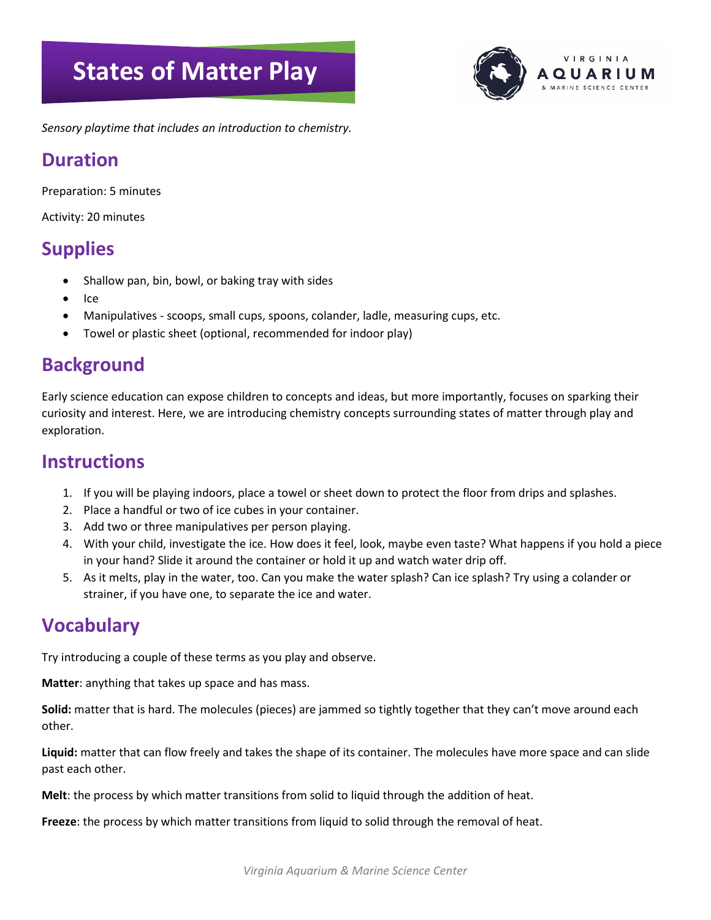# **States of Matter Play**



*Sensory playtime that includes an introduction to chemistry.*

#### **Duration**

Preparation: 5 minutes

Activity: 20 minutes

## **Supplies**

- Shallow pan, bin, bowl, or baking tray with sides
- Ice
- Manipulatives scoops, small cups, spoons, colander, ladle, measuring cups, etc.
- Towel or plastic sheet (optional, recommended for indoor play)

## **Background**

Early science education can expose children to concepts and ideas, but more importantly, focuses on sparking their curiosity and interest. Here, we are introducing chemistry concepts surrounding states of matter through play and exploration.

#### **Instructions**

- 1. If you will be playing indoors, place a towel or sheet down to protect the floor from drips and splashes.
- 2. Place a handful or two of ice cubes in your container.
- 3. Add two or three manipulatives per person playing.
- 4. With your child, investigate the ice. How does it feel, look, maybe even taste? What happens if you hold a piece in your hand? Slide it around the container or hold it up and watch water drip off.
- 5. As it melts, play in the water, too. Can you make the water splash? Can ice splash? Try using a colander or strainer, if you have one, to separate the ice and water.

#### **Vocabulary**

Try introducing a couple of these terms as you play and observe.

**Matter**: anything that takes up space and has mass.

**Solid:** matter that is hard. The molecules (pieces) are jammed so tightly together that they can't move around each other.

**Liquid:** matter that can flow freely and takes the shape of its container. The molecules have more space and can slide past each other.

**Melt**: the process by which matter transitions from solid to liquid through the addition of heat.

**Freeze**: the process by which matter transitions from liquid to solid through the removal of heat.